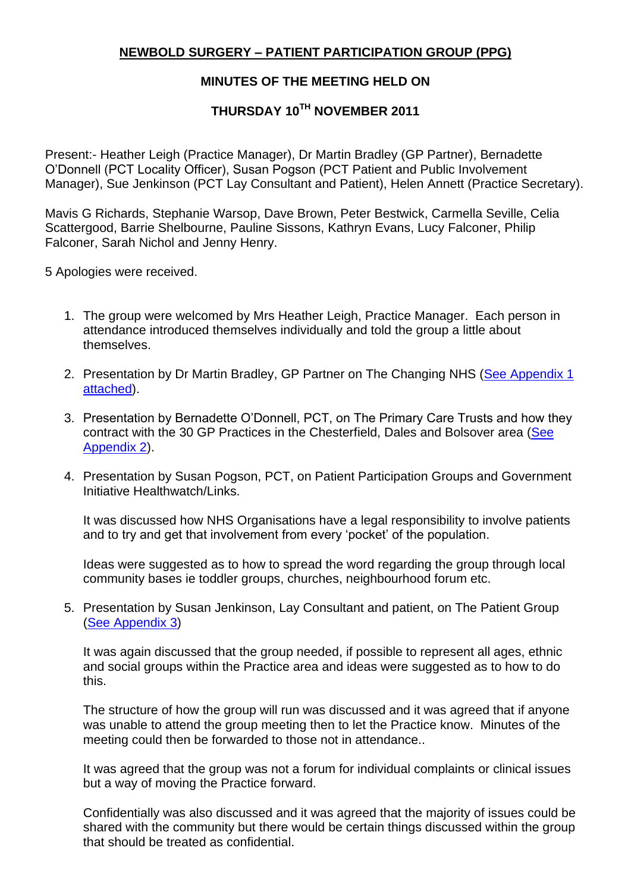## **NEWBOLD SURGERY – PATIENT PARTICIPATION GROUP (PPG)**

## **MINUTES OF THE MEETING HELD ON**

## **THURSDAY 10TH NOVEMBER 2011**

Present:- Heather Leigh (Practice Manager), Dr Martin Bradley (GP Partner), Bernadette O"Donnell (PCT Locality Officer), Susan Pogson (PCT Patient and Public Involvement Manager), Sue Jenkinson (PCT Lay Consultant and Patient), Helen Annett (Practice Secretary).

Mavis G Richards, Stephanie Warsop, Dave Brown, Peter Bestwick, Carmella Seville, Celia Scattergood, Barrie Shelbourne, Pauline Sissons, Kathryn Evans, Lucy Falconer, Philip Falconer, Sarah Nichol and Jenny Henry.

5 Apologies were received.

- 1. The group were welcomed by Mrs Heather Leigh, Practice Manager. Each person in attendance introduced themselves individually and told the group a little about themselves.
- 2. Presentation by Dr Martin Bradley, GP Partner on The Changing NHS (See Appendix 1 [attached\)](http://www.newboldsurgery.co.uk/Mins/Appendix1.pdf).
- 3. Presentation by Bernadette O"Donnell, PCT, on The Primary Care Trusts and how they contract with the 30 GP Practices in the Chesterfield, Dales and Bolsover area [\(See](http://www.newboldsurgery.co.uk/Mins/Appendix2.pdf)  [Appendix 2\)](http://www.newboldsurgery.co.uk/Mins/Appendix2.pdf).
- 4. Presentation by Susan Pogson, PCT, on Patient Participation Groups and Government Initiative Healthwatch/Links.

It was discussed how NHS Organisations have a legal responsibility to involve patients and to try and get that involvement from every "pocket" of the population.

Ideas were suggested as to how to spread the word regarding the group through local community bases ie toddler groups, churches, neighbourhood forum etc.

5. Presentation by Susan Jenkinson, Lay Consultant and patient, on The Patient Group [\(See Appendix 3\)](http://www.newboldsurgery.co.uk/Mins/Appendix3.pdf)

It was again discussed that the group needed, if possible to represent all ages, ethnic and social groups within the Practice area and ideas were suggested as to how to do this.

The structure of how the group will run was discussed and it was agreed that if anyone was unable to attend the group meeting then to let the Practice know. Minutes of the meeting could then be forwarded to those not in attendance..

It was agreed that the group was not a forum for individual complaints or clinical issues but a way of moving the Practice forward.

Confidentially was also discussed and it was agreed that the majority of issues could be shared with the community but there would be certain things discussed within the group that should be treated as confidential.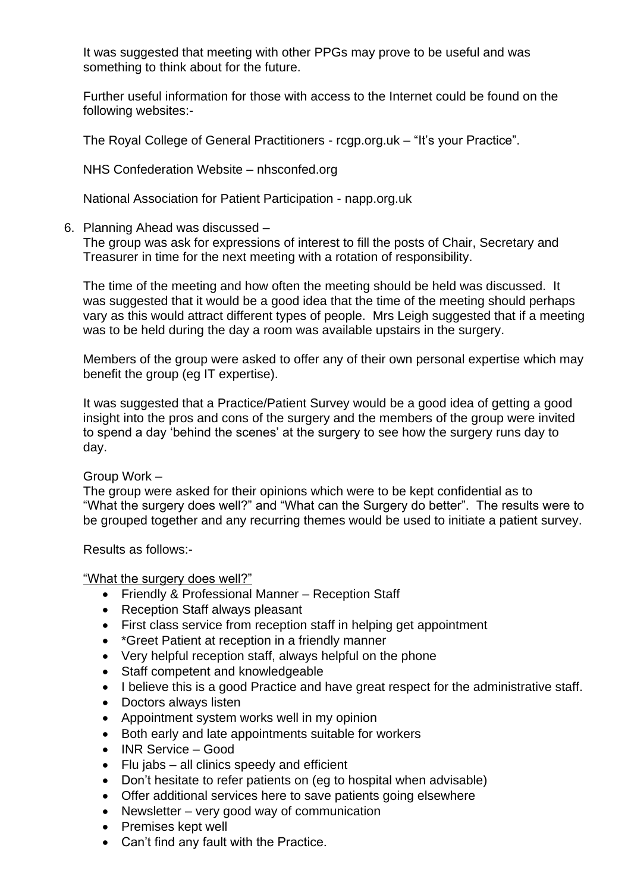It was suggested that meeting with other PPGs may prove to be useful and was something to think about for the future.

Further useful information for those with access to the Internet could be found on the following websites:-

The Royal College of General Practitioners - rcgp.org.uk – "It's your Practice".

NHS Confederation Website – nhsconfed.org

National Association for Patient Participation - napp.org.uk

## 6. Planning Ahead was discussed –

The group was ask for expressions of interest to fill the posts of Chair, Secretary and Treasurer in time for the next meeting with a rotation of responsibility.

The time of the meeting and how often the meeting should be held was discussed. It was suggested that it would be a good idea that the time of the meeting should perhaps vary as this would attract different types of people. Mrs Leigh suggested that if a meeting was to be held during the day a room was available upstairs in the surgery.

Members of the group were asked to offer any of their own personal expertise which may benefit the group (eg IT expertise).

It was suggested that a Practice/Patient Survey would be a good idea of getting a good insight into the pros and cons of the surgery and the members of the group were invited to spend a day 'behind the scenes' at the surgery to see how the surgery runs day to day.

Group Work –

The group were asked for their opinions which were to be kept confidential as to "What the surgery does well?" and "What can the Surgery do better". The results were to be grouped together and any recurring themes would be used to initiate a patient survey.

Results as follows:-

"What the surgery does well?"

- Friendly & Professional Manner Reception Staff
- Reception Staff always pleasant
- First class service from reception staff in helping get appointment
- \*Greet Patient at reception in a friendly manner
- Very helpful reception staff, always helpful on the phone
- Staff competent and knowledgeable
- I believe this is a good Practice and have great respect for the administrative staff.
- Doctors always listen
- Appointment system works well in my opinion
- Both early and late appointments suitable for workers
- INR Service Good
- Flu jabs all clinics speedy and efficient
- Don't hesitate to refer patients on (eg to hospital when advisable)
- Offer additional services here to save patients going elsewhere
- Newsletter very good way of communication
- Premises kept well
- Can"t find any fault with the Practice.